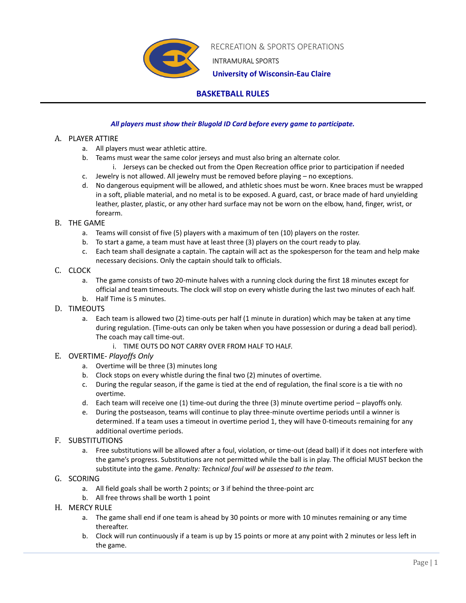

RECREATION & SPORTS OPERATIONS

INTRAMURAL SPORTS

 **University of Wisconsin-Eau Claire**

# **BASKETBALL RULES**

## *All players must show their Blugold ID Card before every game to participate.*

### A. PLAYER ATTIRE

- a. All players must wear athletic attire.
- b. Teams must wear the same color jerseys and must also bring an alternate color.
	- i. Jerseys can be checked out from the Open Recreation office prior to participation if needed
- c. Jewelry is not allowed. All jewelry must be removed before playing no exceptions.
- d. No dangerous equipment will be allowed, and athletic shoes must be worn. Knee braces must be wrapped in a soft, pliable material, and no metal is to be exposed. A guard, cast, or brace made of hard unyielding leather, plaster, plastic, or any other hard surface may not be worn on the elbow, hand, finger, wrist, or forearm.

### B. THE GAME

- a. Teams will consist of five (5) players with a maximum of ten (10) players on the roster.
- b. To start a game, a team must have at least three (3) players on the court ready to play.
- c. Each team shall designate a captain. The captain will act as the spokesperson for the team and help make necessary decisions. Only the captain should talk to officials.

## C. CLOCK

- a. The game consists of two 20-minute halves with a running clock during the first 18 minutes except for official and team timeouts. The clock will stop on every whistle during the last two minutes of each half.
- b. Half Time is 5 minutes.
- D. TIMEOUTS
	- a. Each team is allowed two (2) time-outs per half (1 minute in duration) which may be taken at any time during regulation. (Time-outs can only be taken when you have possession or during a dead ball period). The coach may call time-out.
		- i. TIME OUTS DO NOT CARRY OVER FROM HALF TO HALF.
- E. OVERTIME- *Playoffs Only*
	- a. Overtime will be three (3) minutes long
	- b. Clock stops on every whistle during the final two (2) minutes of overtime.
	- c. During the regular season, if the game is tied at the end of regulation, the final score is a tie with no overtime.
	- d. Each team will receive one (1) time-out during the three (3) minute overtime period playoffs only.
	- e. During the postseason, teams will continue to play three-minute overtime periods until a winner is determined. If a team uses a timeout in overtime period 1, they will have 0-timeouts remaining for any additional overtime periods.
- F. SUBSTITUTIONS
	- a. Free substitutions will be allowed after a foul, violation, or time-out (dead ball) if it does not interfere with the game's progress. Substitutions are not permitted while the ball is in play. The official MUST beckon the substitute into the game. *Penalty: Technical foul will be assessed to the team*.
- G. SCORING
	- a. All field goals shall be worth 2 points; or 3 if behind the three-point arc
	- b. All free throws shall be worth 1 point
- H. MERCY RULE
	- a. The game shall end if one team is ahead by 30 points or more with 10 minutes remaining or any time thereafter.
	- b. Clock will run continuously if a team is up by 15 points or more at any point with 2 minutes or less left in the game.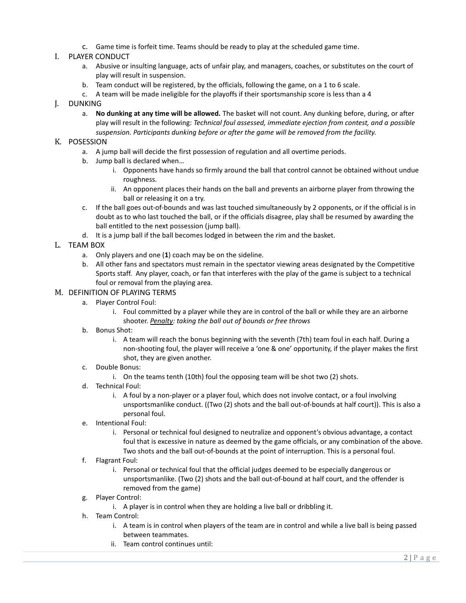c. Game time is forfeit time. Teams should be ready to play at the scheduled game time.

## I. PLAYER CONDUCT

- a. Abusive or insulting language, acts of unfair play, and managers, coaches, or substitutes on the court of play will result in suspension.
- b. Team conduct will be registered, by the officials, following the game, on a 1 to 6 scale.
- c. A team will be made ineligible for the playoffs if their sportsmanship score is less than a 4

### J. DUNKING

a. **No dunking at any time will be allowed.** The basket will not count. Any dunking before, during, or after play will result in the following: *Technical foul assessed, immediate ejection from contest, and a possible suspension. Participants dunking before or after the game will be removed from the facility.* 

#### K. POSESSION

- a. A jump ball will decide the first possession of regulation and all overtime periods.
- b. Jump ball is declared when…
	- i. Opponents have hands so firmly around the ball that control cannot be obtained without undue roughness.
	- ii. An opponent places their hands on the ball and prevents an airborne player from throwing the ball or releasing it on a try.
- c. If the ball goes out-of-bounds and was last touched simultaneously by 2 opponents, or if the official is in doubt as to who last touched the ball, or if the officials disagree, play shall be resumed by awarding the ball entitled to the next possession (jump ball).
- d. It is a jump ball if the ball becomes lodged in between the rim and the basket.

### L. TEAM BOX

- a. Only players and one (**1**) coach may be on the sideline.
- b. All other fans and spectators must remain in the spectator viewing areas designated by the Competitive Sports staff. Any player, coach, or fan that interferes with the play of the game is subject to a technical foul or removal from the playing area.

#### M. DEFINITION OF PLAYING TERMS

- a. Player Control Foul:
	- i. Foul committed by a player while they are in control of the ball or while they are an airborne shooter. *Penalty: taking the ball out of bounds or free throws*
- b. Bonus Shot:
	- i. A team will reach the bonus beginning with the seventh (7th) team foul in each half. During a non-shooting foul, the player will receive a 'one & one' opportunity, if the player makes the first shot, they are given another.

### c. Double Bonus:

- i. On the teams tenth (10th) foul the opposing team will be shot two (2) shots.
- d. Technical Foul:
	- i. A foul by a non-player or a player foul, which does not involve contact, or a foul involving unsportsmanlike conduct. ((Two (2) shots and the ball out-of-bounds at half court)). This is also a personal foul.
- e. Intentional Foul:
	- i. Personal or technical foul designed to neutralize and opponent's obvious advantage, a contact foul that is excessive in nature as deemed by the game officials, or any combination of the above. Two shots and the ball out-of-bounds at the point of interruption. This is a personal foul.
- f. Flagrant Foul:
	- i. Personal or technical foul that the official judges deemed to be especially dangerous or unsportsmanlike. (Two (2) shots and the ball out-of-bound at half court, and the offender is removed from the game)
- g. Player Control:
	- i. A player is in control when they are holding a live ball or dribbling it.
- h. Team Control:
	- i. A team is in control when players of the team are in control and while a live ball is being passed between teammates.
	- ii. Team control continues until: